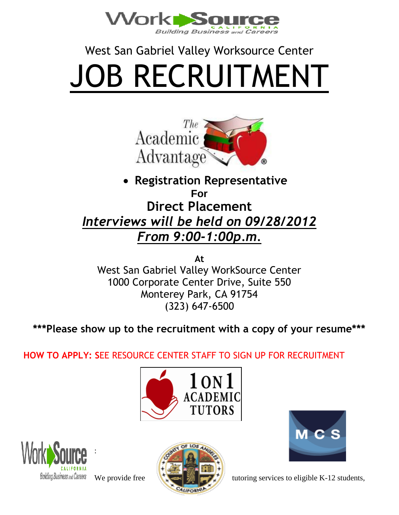

# West San Gabriel Valley Worksource Center JOB RECRUITMENT



## **Registration Representative For Direct Placement** *Interviews will be held on 09/28/2012 From 9:00-1:00p.m.*

**At** West San Gabriel Valley WorkSource Center 1000 Corporate Center Drive, Suite 550 Monterey Park, CA 91754 (323) 647-6500

## **\*\*\*Please show up to the recruitment with a copy of your resume\*\*\***

**HOW TO APPLY: S**EE RESOURCE CENTER STAFF TO SIGN UP FOR RECRUITMENT





:





Building Business and Careers We provide free  $\mathbb{R}$   $\mathbb{R}$  tutoring services to eligible K-12 students,